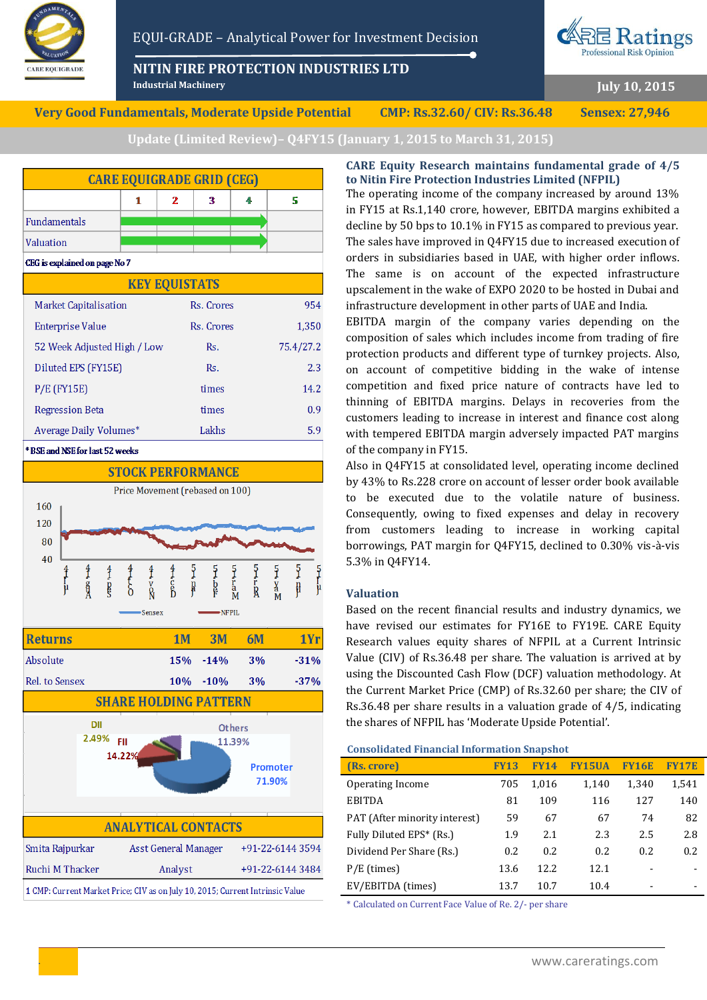

**NITIN FIRE PROTECTION INDUSTRIES LTD**



**July 10, 2015**

**Very Good Fundamentals, Moderate Upside Potential CMP: Rs.32.60/ CIV: Rs.36.48 Sensex: 27,946**

**Industrial Machinery**

**Update (Limited Review)– Q4FY15 (January 1, 2015 to March 31, 2015)**



**STOCK PERFORMANCE** Price Movement (rebased on 100) 160 120  $80$ 40  $\frac{5}{3}$ Ş  $\frac{5}{r_a}$  $\frac{5}{5}$  $\frac{5}{8}$ ğ ξ ₽  $\mathbf{n}$  $\frac{v}{R}$ Sensex NFPIL **Returns 1M** 1Yr  $3M$  $6M$ Absolute 15%  $-14%$  $3%$  $-31%$ Rel. to Sensex 10%  $-10%$  $3%$  $-37%$ **SHARE HOLDING PATTERN** DII Others 2.49% EU 11.39%  $14.229$ Promoter 71.90% **ANALYTICAL CONTACTS** +91-22-6144 3594 Smita Rajpurkar **Asst General Manager** Ruchi M Thacker Analyst +91-22-6144 3484

1 CMP: Current Market Price; CIV as on July 10, 2015; Current Intrinsic Value

# **CARE Equity Research maintains fundamental grade of 4/5 to Nitin Fire Protection Industries Limited (NFPIL)**

The operating income of the company increased by around 13% in FY15 at Rs.1,140 crore, however, EBITDA margins exhibited a decline by 50 bps to 10.1% in FY15 as compared to previous year. The sales have improved in Q4FY15 due to increased execution of orders in subsidiaries based in UAE, with higher order inflows. The same is on account of the expected infrastructure upscalement in the wake of EXPO 2020 to be hosted in Dubai and infrastructure development in other parts of UAE and India.

EBITDA margin of the company varies depending on the composition of sales which includes income from trading of fire protection products and different type of turnkey projects. Also, on account of competitive bidding in the wake of intense competition and fixed price nature of contracts have led to thinning of EBITDA margins. Delays in recoveries from the customers leading to increase in interest and finance cost along with tempered EBITDA margin adversely impacted PAT margins of the company in FY15.

Also in Q4FY15 at consolidated level, operating income declined by 43% to Rs.228 crore on account of lesser order book available to be executed due to the volatile nature of business. Consequently, owing to fixed expenses and delay in recovery from customers leading to increase in working capital borrowings, PAT margin for Q4FY15, declined to 0.30% vis-à-vis 5.3% in Q4FY14.

# **Valuation**

Based on the recent financial results and industry dynamics, we have revised our estimates for FY16E to FY19E. CARE Equity Research values equity shares of NFPIL at a Current Intrinsic Value (CIV) of Rs.36.48 per share. The valuation is arrived at by using the Discounted Cash Flow (DCF) valuation methodology. At the Current Market Price (CMP) of Rs.32.60 per share; the CIV of Rs.36.48 per share results in a valuation grade of 4/5, indicating the shares of NFPIL has 'Moderate Upside Potential'.

### **Consolidated Financial Information Snapshot**

| (Rs. crore)                   | <b>FY13</b> | <b>FY14</b> | <b>FY15UA</b> | <b>FY16E</b> | <b>FY17E</b> |
|-------------------------------|-------------|-------------|---------------|--------------|--------------|
| Operating Income              | 705         | 1,016       | 1,140         | 1,340        | 1,541        |
| <b>EBITDA</b>                 | 81          | 109         | 116           | 127          | 140          |
| PAT (After minority interest) | 59          | 67          | 67            | 74           | 82           |
| Fully Diluted EPS* (Rs.)      | 1.9         | 2.1         | 2.3           | 2.5          | 2.8          |
| Dividend Per Share (Rs.)      | 0.2         | 0.2         | 0.2           | 0.2          | 0.2          |
| $P/E$ (times)                 | 13.6        | 12.2.       | 12.1          |              |              |
| EV/EBITDA (times)             | 13.7        | 10.7        | 10.4          |              |              |

\* Calculated on Current Face Value of Re. 2/- per share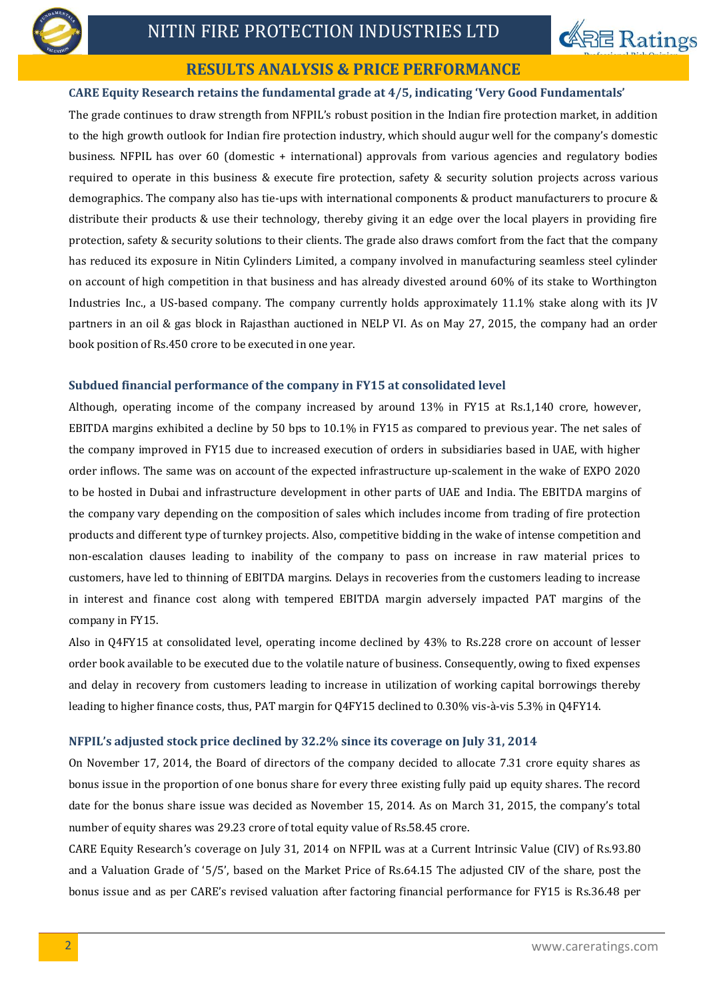



# **RESULTS ANALYSIS & PRICE PERFORMANCE**

# **CARE Equity Research retains the fundamental grade at 4/5, indicating 'Very Good Fundamentals'**

The grade continues to draw strength from NFPIL's robust position in the Indian fire protection market, in addition to the high growth outlook for Indian fire protection industry, which should augur well for the company's domestic business. NFPIL has over 60 (domestic + international) approvals from various agencies and regulatory bodies required to operate in this business & execute fire protection, safety & security solution projects across various demographics. The company also has tie-ups with international components & product manufacturers to procure & distribute their products & use their technology, thereby giving it an edge over the local players in providing fire protection, safety & security solutions to their clients. The grade also draws comfort from the fact that the company has reduced its exposure in Nitin Cylinders Limited, a company involved in manufacturing seamless steel cylinder on account of high competition in that business and has already divested around 60% of its stake to Worthington Industries Inc., a US-based company. The company currently holds approximately 11.1% stake along with its JV partners in an oil & gas block in Rajasthan auctioned in NELP VI. As on May 27, 2015, the company had an order book position of Rs.450 crore to be executed in one year.

# **Subdued financial performance of the company in FY15 at consolidated level**

Although, operating income of the company increased by around 13% in FY15 at Rs.1,140 crore, however, EBITDA margins exhibited a decline by 50 bps to 10.1% in FY15 as compared to previous year. The net sales of the company improved in FY15 due to increased execution of orders in subsidiaries based in UAE, with higher order inflows. The same was on account of the expected infrastructure up-scalement in the wake of EXPO 2020 to be hosted in Dubai and infrastructure development in other parts of UAE and India. The EBITDA margins of the company vary depending on the composition of sales which includes income from trading of fire protection products and different type of turnkey projects. Also, competitive bidding in the wake of intense competition and non-escalation clauses leading to inability of the company to pass on increase in raw material prices to customers, have led to thinning of EBITDA margins. Delays in recoveries from the customers leading to increase in interest and finance cost along with tempered EBITDA margin adversely impacted PAT margins of the company in FY15.

Also in Q4FY15 at consolidated level, operating income declined by 43% to Rs.228 crore on account of lesser order book available to be executed due to the volatile nature of business. Consequently, owing to fixed expenses and delay in recovery from customers leading to increase in utilization of working capital borrowings thereby leading to higher finance costs, thus, PAT margin for Q4FY15 declined to 0.30% vis-à-vis 5.3% in Q4FY14.

# **NFPIL's adjusted stock price declined by 32.2% since its coverage on July 31, 2014**

On November 17, 2014, the Board of directors of the company decided to allocate 7.31 crore equity shares as bonus issue in the proportion of one bonus share for every three existing fully paid up equity shares. The record date for the bonus share issue was decided as November 15, 2014. As on March 31, 2015, the company's total number of equity shares was 29.23 crore of total equity value of Rs.58.45 crore.

CARE Equity Research's coverage on July 31, 2014 on NFPIL was at a Current Intrinsic Value (CIV) of Rs.93.80 and a Valuation Grade of '5/5', based on the Market Price of Rs.64.15 The adjusted CIV of the share, post the bonus issue and as per CARE's revised valuation after factoring financial performance for FY15 is Rs.36.48 per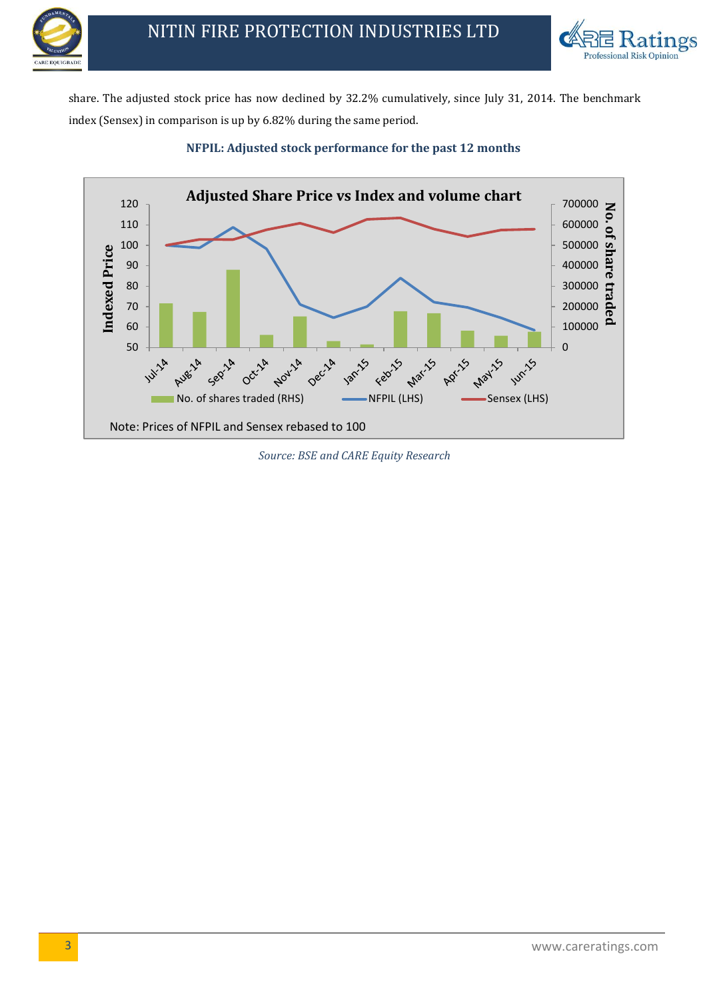



share. The adjusted stock price has now declined by 32.2% cumulatively, since July 31, 2014. The benchmark index (Sensex) in comparison is up by 6.82% during the same period.



# **NFPIL: Adjusted stock performance for the past 12 months**

*Source: BSE and CARE Equity Research*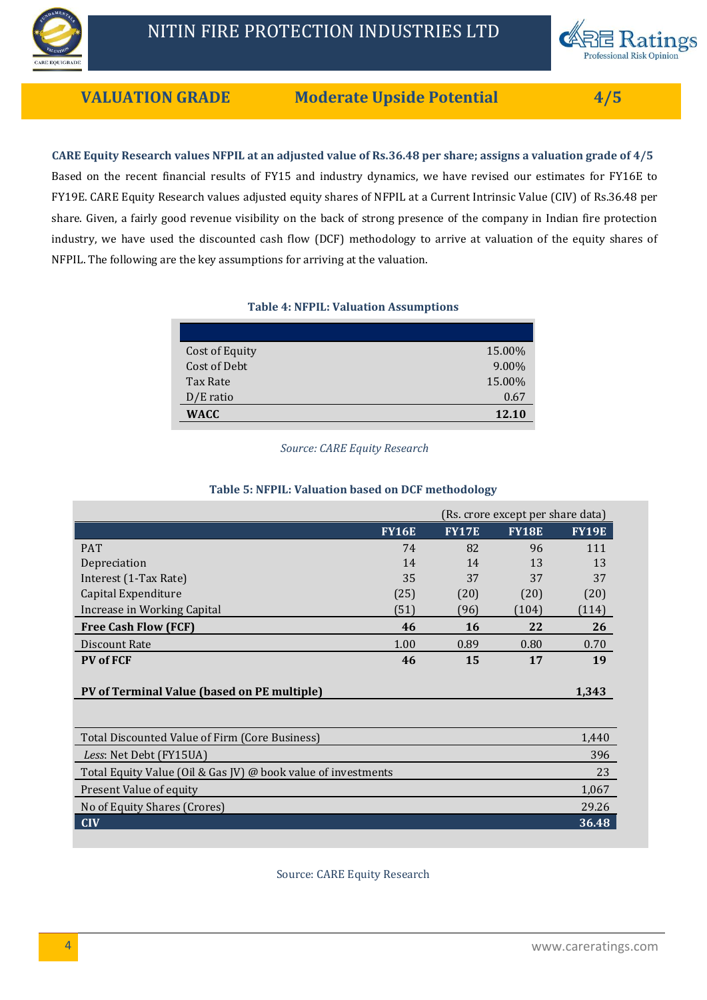

**VALUATION GRADE Moderate Upside Potential 4/5**

**CARE Equity Research values NFPIL at an adjusted value of Rs.36.48 per share; assigns a valuation grade of 4/5** Based on the recent financial results of FY15 and industry dynamics, we have revised our estimates for FY16E to FY19E. CARE Equity Research values adjusted equity shares of NFPIL at a Current Intrinsic Value (CIV) of Rs.36.48 per share. Given, a fairly good revenue visibility on the back of strong presence of the company in Indian fire protection industry, we have used the discounted cash flow (DCF) methodology to arrive at valuation of the equity shares of NFPIL. The following are the key assumptions for arriving at the valuation.

# **Table 4: NFPIL: Valuation Assumptions**

| Cost of Equity | 15.00% |
|----------------|--------|
| Cost of Debt   | 9.00%  |
| Tax Rate       | 15.00% |
| $D/E$ ratio    | 0.67   |
| <b>WACC</b>    | 12.10  |

*Source: CARE Equity Research*

# **Table 5: NFPIL: Valuation based on DCF methodology**

|                                                |              | (Rs. crore except per share data) |              |              |
|------------------------------------------------|--------------|-----------------------------------|--------------|--------------|
|                                                | <b>FY16E</b> | <b>FY17E</b>                      | <b>FY18E</b> | <b>FY19E</b> |
| <b>PAT</b>                                     | 74           | 82                                | 96           | 111          |
| Depreciation                                   | 14           | 14                                | 13           | 13           |
| Interest (1-Tax Rate)                          | 35           | 37                                | 37           | 37           |
| Capital Expenditure                            | (25)         | (20)                              | (20)         | (20)         |
| Increase in Working Capital                    | (51)         | (96)                              | (104)        | (114)        |
| <b>Free Cash Flow (FCF)</b>                    | 46           | <b>16</b>                         | 22           | 26           |
| Discount Rate                                  | 1.00         | 0.89                              | 0.80         | 0.70         |
| <b>PV</b> of FCF                               | 46           | 15                                | 17           | 19           |
| PV of Terminal Value (based on PE multiple)    |              |                                   |              | 1,343        |
|                                                |              |                                   |              |              |
| Total Discounted Value of Firm (Core Business) |              |                                   |              | 1.440        |

| Total Discounted Value of Firm (Core Business)                | 1,440 |
|---------------------------------------------------------------|-------|
| Less: Net Debt (FY15UA)                                       | 396   |
| Total Equity Value (Oil & Gas JV) @ book value of investments | 23    |
| Present Value of equity                                       | 1,067 |
| No of Equity Shares (Crores)                                  | 29.26 |
| – CIV                                                         | 36.48 |
|                                                               |       |

Source: CARE Equity Research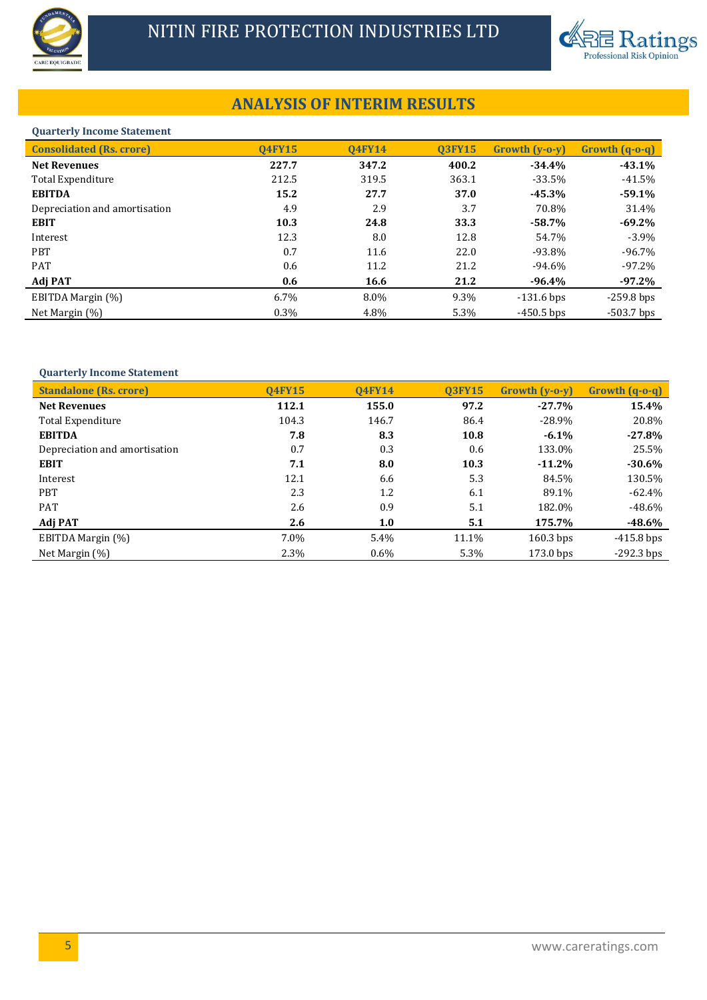



# **ANALYSIS OF INTERIM RESULTS**

#### **Quarterly Income Statement**

| <b>Consolidated (Rs. crore)</b> | <b>04FY15</b> | <b>04FY14</b> | <b>03FY15</b> | $Growth (v-o-v)$ | $Growth (q-0-q)$ |
|---------------------------------|---------------|---------------|---------------|------------------|------------------|
| <b>Net Revenues</b>             | 227.7         | 347.2         | 400.2         | $-34.4%$         | $-43.1%$         |
| Total Expenditure               | 212.5         | 319.5         | 363.1         | $-33.5%$         | $-41.5%$         |
| <b>EBITDA</b>                   | 15.2          | 27.7          | 37.0          | $-45.3%$         | $-59.1%$         |
| Depreciation and amortisation   | 4.9           | 2.9           | 3.7           | 70.8%            | 31.4%            |
| <b>EBIT</b>                     | 10.3          | 24.8          | 33.3          | $-58.7\%$        | $-69.2%$         |
| Interest                        | 12.3          | 8.0           | 12.8          | 54.7%            | $-3.9\%$         |
| <b>PBT</b>                      | 0.7           | 11.6          | 22.0          | $-93.8\%$        | $-96.7\%$        |
| <b>PAT</b>                      | 0.6           | 11.2          | 21.2          | $-94.6\%$        | $-97.2\%$        |
| Adj PAT                         | 0.6           | 16.6          | 21.2          | $-96.4%$         | $-97.2%$         |
| EBITDA Margin (%)               | 6.7%          | 8.0%          | 9.3%          | $-131.6$ bps     | $-259.8$ bps     |
| Net Margin $(\%)$               | 0.3%          | 4.8%          | 5.3%          | $-450.5$ bps     | $-503.7$ bps     |

### **Quarterly Income Statement**

| <b>Standalone (Rs. crore)</b> | <b>04FY15</b> | <b>04FY14</b> | <b>03FY15</b> | $Growth (v-o-v)$ | Growth (q-o-q) |
|-------------------------------|---------------|---------------|---------------|------------------|----------------|
| <b>Net Revenues</b>           | 112.1         | 155.0         | 97.2          | $-27.7%$         | 15.4%          |
| Total Expenditure             | 104.3         | 146.7         | 86.4          | $-28.9\%$        | 20.8%          |
| <b>EBITDA</b>                 | 7.8           | 8.3           | 10.8          | $-6.1%$          | $-27.8%$       |
| Depreciation and amortisation | 0.7           | 0.3           | 0.6           | 133.0%           | 25.5%          |
| <b>EBIT</b>                   | 7.1           | 8.0           | 10.3          | $-11.2%$         | $-30.6%$       |
| Interest                      | 12.1          | 6.6           | 5.3           | 84.5%            | 130.5%         |
| <b>PBT</b>                    | 2.3           | 1.2           | 6.1           | 89.1%            | $-62.4%$       |
| <b>PAT</b>                    | 2.6           | 0.9           | 5.1           | 182.0%           | $-48.6\%$      |
| Adj PAT                       | 2.6           | 1.0           | 5.1           | 175.7%           | -48.6%         |
| EBITDA Margin (%)             | 7.0%          | 5.4%          | 11.1%         | $160.3$ bps      | $-415.8$ bps   |
| Net Margin $(\%)$             | 2.3%          | $0.6\%$       | 5.3%          | 173.0 bps        | $-292.3$ bps   |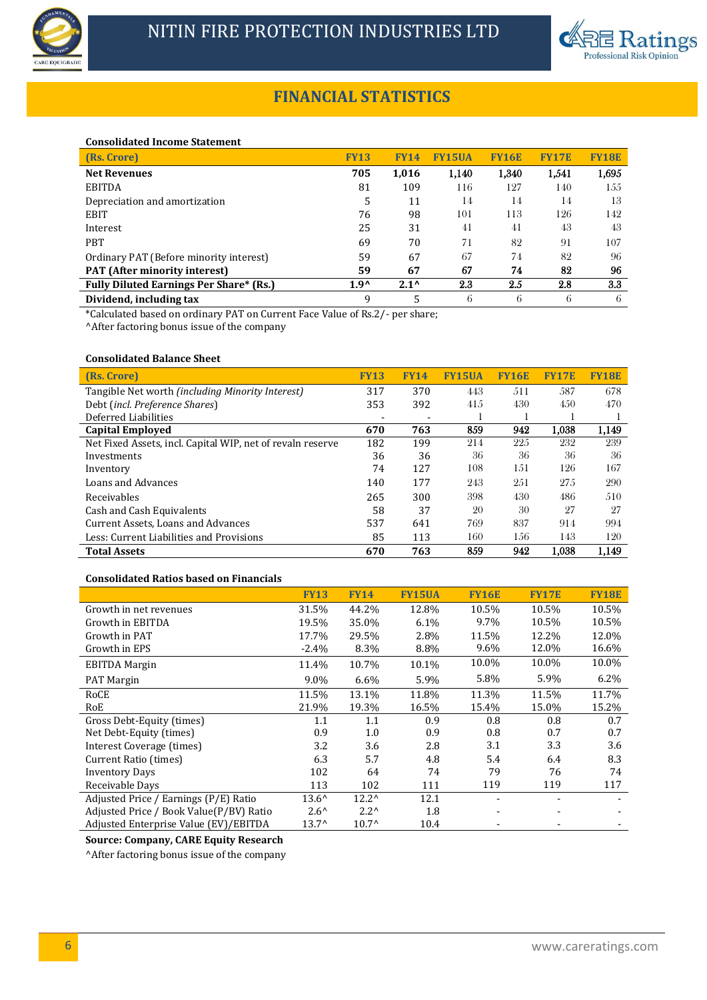



# **FINANCIAL STATISTICS**

#### **Consolidated Income Statement**

| (Rs. Crore)                                    | <b>FY13</b>   | 14<br>FY:     | 5UA   | <b>FY16E</b> | <b>FY17E</b> | <b>FY18E</b> |
|------------------------------------------------|---------------|---------------|-------|--------------|--------------|--------------|
| <b>Net Revenues</b>                            | 705           | 1,016         | 1,140 | 1,340        | 1,541        | 1,695        |
| <b>EBITDA</b>                                  | 81            | 109           | 116   | 127          | 140          | 155          |
| Depreciation and amortization                  | 5             | 11            | 14    | 14           | 14           | 13           |
| <b>EBIT</b>                                    | 76            | 98            | 101   | 113          | 126          | 142          |
| Interest                                       | 25            | 31            | 41    | 41           | 43           | 43           |
| <b>PBT</b>                                     | 69            | 70            | 71    | 82           | 91           | 107          |
| Ordinary PAT (Before minority interest)        | 59            | 67            | 67    | 74           | 82           | 96           |
| <b>PAT</b> (After minority interest)           | 59            | 67            | 67    | 74           | 82           | 96           |
| <b>Fully Diluted Earnings Per Share* (Rs.)</b> | $1.9^{\circ}$ | $2.1^{\circ}$ | 2.3   | 2.5          | 2.8          | 3.3          |
| Dividend, including tax                        | 9             | 5             | 6     | 6            | 6            | 6            |

\*Calculated based on ordinary PAT on Current Face Value of Rs.2/- per share;

^After factoring bonus issue of the company

### **Consolidated Balance Sheet**

| (Rs. Crore)                                                | <b>FY13</b> | <b>FY14</b> | <b>FY15UA</b> | <b>FY16E</b> | <b>FY17E</b> | <b>FY18E</b> |
|------------------------------------------------------------|-------------|-------------|---------------|--------------|--------------|--------------|
| Tangible Net worth (including Minority Interest)           | 317         | 370         | 443           | 511          | 587          | 678          |
| Debt (incl. Preference Shares)                             | 353         | 392         | 415           | 430          | 4.50         | 470          |
| Deferred Liabilities                                       |             |             |               |              |              |              |
| <b>Capital Employed</b>                                    | 670         | 763         | 859           | 942          | 1.038        | 1,149        |
| Net Fixed Assets, incl. Capital WIP, net of revaln reserve | 182         | 199         | 214           | 225          | 232          | 239          |
| Investments                                                | 36          | 36          | 36            | 36           | 36           | 36           |
| Inventory                                                  | 74          | 127         | 108           | 1.51         | 126          | 167          |
| Loans and Advances                                         | 140         | 177         | 243           | 251          | 27.5         | 290          |
| Receivables                                                | 265         | 300         | 398           | 430          | 486          | 510          |
| Cash and Cash Equivalents                                  | 58          | 37          | 20            | 30           | 27           | 27           |
| Current Assets, Loans and Advances                         | 537         | 641         | 769           | 837          | 914          | 994          |
| Less: Current Liabilities and Provisions                   | 85          | 113         | 160           | 156          | 143          | 120          |
| <b>Total Assets</b>                                        | 670         | 763         | 859           | 942          | 1.038        | 1.149        |

### **Consolidated Ratios based on Financials**

|                                         | <b>FY13</b>    | <b>FY14</b>    | <b>FY15UA</b> | <b>FY16E</b> | <b>FY17E</b> | <b>FY18E</b> |
|-----------------------------------------|----------------|----------------|---------------|--------------|--------------|--------------|
| Growth in net revenues                  | 31.5%          | 44.2%          | 12.8%         | 10.5%        | 10.5%        | 10.5%        |
| Growth in EBITDA                        | 19.5%          | 35.0%          | 6.1%          | 9.7%         | 10.5%        | 10.5%        |
| Growth in PAT                           | 17.7%          | 29.5%          | 2.8%          | 11.5%        | 12.2%        | 12.0%        |
| Growth in EPS                           | $-2.4%$        | 8.3%           | 8.8%          | 9.6%         | 12.0%        | 16.6%        |
| <b>EBITDA Margin</b>                    | 11.4%          | 10.7%          | 10.1%         | 10.0%        | 10.0%        | 10.0%        |
| <b>PAT Margin</b>                       | 9.0%           | 6.6%           | 5.9%          | 5.8%         | 5.9%         | $6.2\%$      |
| RoCE                                    | 11.5%          | 13.1%          | 11.8%         | 11.3%        | 11.5%        | 11.7%        |
| RoE                                     | 21.9%          | 19.3%          | 16.5%         | 15.4%        | 15.0%        | 15.2%        |
| Gross Debt-Equity (times)               | 1.1            | 1.1            | 0.9           | 0.8          | 0.8          | 0.7          |
| Net Debt-Equity (times)                 | 0.9            | 1.0            | 0.9           | 0.8          | 0.7          | 0.7          |
| Interest Coverage (times)               | 3.2            | 3.6            | 2.8           | 3.1          | 3.3          | 3.6          |
| Current Ratio (times)                   | 6.3            | 5.7            | 4.8           | 5.4          | 6.4          | 8.3          |
| <b>Inventory Days</b>                   | 102            | 64             | 74            | 79           | 76           | 74           |
| Receivable Days                         | 113            | 102            | 111           | 119          | 119          | 117          |
| Adjusted Price / Earnings (P/E) Ratio   | $13.6^{\circ}$ | $12.2^{\circ}$ | 12.1          |              |              |              |
| Adjusted Price / Book Value(P/BV) Ratio | $2.6^{\circ}$  | $2.2^{\wedge}$ | 1.8           |              |              |              |
| Adjusted Enterprise Value (EV)/EBITDA   | $13.7^{\circ}$ | $10.7^{\circ}$ | 10.4          |              |              |              |

**Source: Company, CARE Equity Research**

^After factoring bonus issue of the company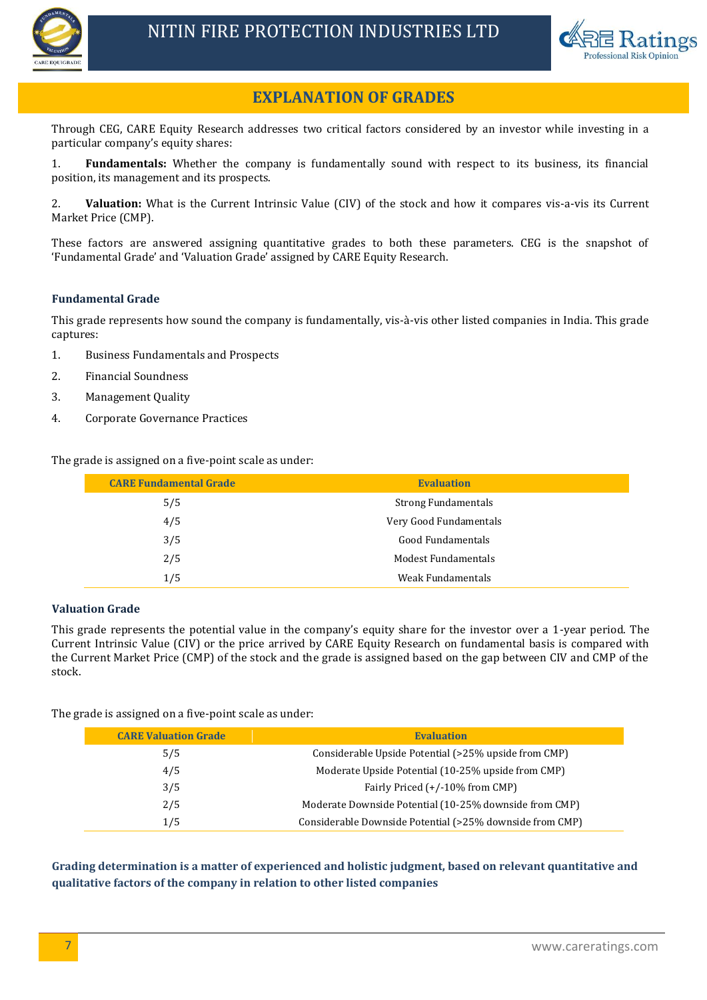



# **EXPLANATION OF GRADES**

Through CEG, CARE Equity Research addresses two critical factors considered by an investor while investing in a particular company's equity shares:

1. **Fundamentals:** Whether the company is fundamentally sound with respect to its business, its financial position, its management and its prospects.

2. **Valuation:** What is the Current Intrinsic Value (CIV) of the stock and how it compares vis-a-vis its Current Market Price (CMP).

These factors are answered assigning quantitative grades to both these parameters. CEG is the snapshot of 'Fundamental Grade' and 'Valuation Grade' assigned by CARE Equity Research.

# **Fundamental Grade**

This grade represents how sound the company is fundamentally, vis-à-vis other listed companies in India. This grade captures:

- 1. Business Fundamentals and Prospects
- 2. Financial Soundness
- 3. Management Quality
- 4. Corporate Governance Practices

The grade is assigned on a five-point scale as under:

| <b>CARE Fundamental Grade</b> | <b>Evaluation</b>          |
|-------------------------------|----------------------------|
| 5/5                           | <b>Strong Fundamentals</b> |
| 4/5                           | Very Good Fundamentals     |
| 3/5                           | Good Fundamentals          |
| 2/5                           | <b>Modest Fundamentals</b> |
| 1/5                           | Weak Fundamentals          |

# **Valuation Grade**

This grade represents the potential value in the company's equity share for the investor over a 1-year period. The Current Intrinsic Value (CIV) or the price arrived by CARE Equity Research on fundamental basis is compared with the Current Market Price (CMP) of the stock and the grade is assigned based on the gap between CIV and CMP of the stock.

The grade is assigned on a five-point scale as under:

| <b>CARE Valuation Grade</b> | <b>Evaluation</b>                                        |
|-----------------------------|----------------------------------------------------------|
| 5/5                         | Considerable Upside Potential (>25% upside from CMP)     |
| 4/5                         | Moderate Upside Potential (10-25% upside from CMP)       |
| 3/5                         | Fairly Priced (+/-10% from CMP)                          |
| 2/5                         | Moderate Downside Potential (10-25% downside from CMP)   |
| 1/5                         | Considerable Downside Potential (>25% downside from CMP) |

**Grading determination is a matter of experienced and holistic judgment, based on relevant quantitative and qualitative factors of the company in relation to other listed companies**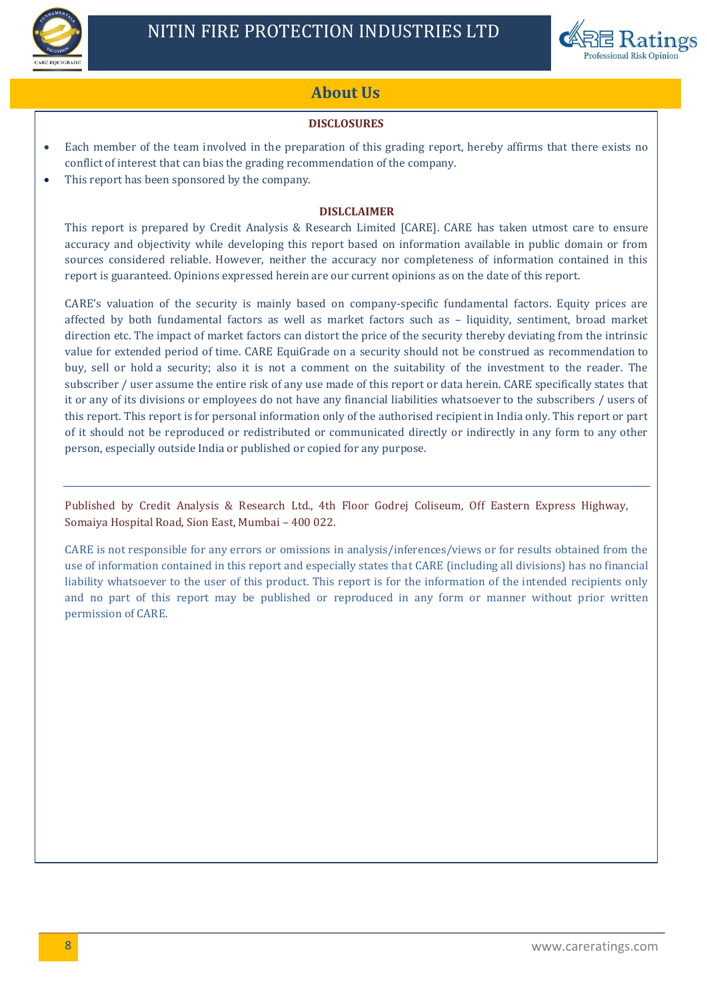



# **About Us**

# **DISCLOSURES**

- Each member of the team involved in the preparation of this grading report, hereby affirms that there exists no conflict of interest that can bias the grading recommendation of the company.
- This report has been sponsored by the company.

# **DISLCLAIMER**

This report is prepared by Credit Analysis & Research Limited [CARE]. CARE has taken utmost care to ensure accuracy and objectivity while developing this report based on information available in public domain or from sources considered reliable. However, neither the accuracy nor completeness of information contained in this report is guaranteed. Opinions expressed herein are our current opinions as on the date of this report.

CARE's valuation of the security is mainly based on company-specific fundamental factors. Equity prices are affected by both fundamental factors as well as market factors such as – liquidity, sentiment, broad market direction etc. The impact of market factors can distort the price of the security thereby deviating from the intrinsic value for extended period of time. CARE EquiGrade on a security should not be construed as recommendation to buy, sell or hold a security; also it is not a comment on the suitability of the investment to the reader. The subscriber / user assume the entire risk of any use made of this report or data herein. CARE specifically states that it or any of its divisions or employees do not have any financial liabilities whatsoever to the subscribers / users of this report. This report is for personal information only of the authorised recipient in India only. This report or part of it should not be reproduced or redistributed or communicated directly or indirectly in any form to any other person, especially outside India or published or copied for any purpose.

Published by Credit Analysis & Research Ltd., 4th Floor Godrej Coliseum, Off Eastern Express Highway, Somaiya Hospital Road, Sion East, Mumbai – 400 022.

CARE is not responsible for any errors or omissions in analysis/inferences/views or for results obtained from the use of information contained in this report and especially states that CARE (including all divisions) has no financial liability whatsoever to the user of this product. This report is for the information of the intended recipients only and no part of this report may be published or reproduced in any form or manner without prior written permission of CARE.